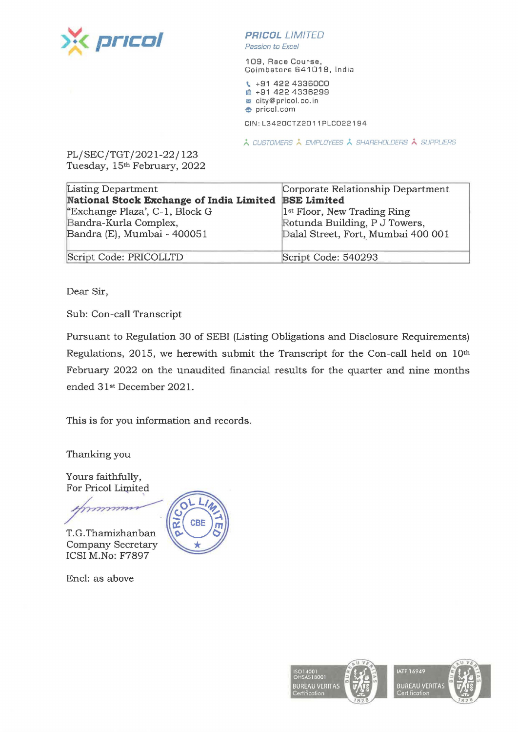

## **PR/COL** *LIMITED*

Passion to Excel

109, Race Course, Coimbatore 641018, India

<sup>~</sup>+91 422 4336000 **■ +91 422 4336299 m** city@pricol.co. in **e** pricol.com

CIN:L34200TZ2011PLC022194

*i,.,* CUSTOMERS *i,.,* EMPLOYEES *i,.,* SHAREHOLDERS /., SUPPLIERS

PL/SEC/TGT/2021-22/123 Tuesday, 15th February, 2022

| Listing Department                       | Corporate Relationship Department       |
|------------------------------------------|-----------------------------------------|
| National Stock Exchange of India Limited | <b>BSE Limited</b>                      |
| "Exchange Plaza', C-1, Block G           | 1 <sup>st</sup> Floor, New Trading Ring |
| Bandra-Kurla Complex,                    | Rotunda Building, P J Towers,           |
| Bandra (E), Mumbai - 400051              | Dalal Street, Fort, Mumbai 400 001      |
| Script Code: PRICOLLTD                   | Script Code: 540293                     |

Dear Sir,

Sub: Con-call Transcript

Pursuant to Regulation 30 of SEBI (Listing Obligations and Disclosure Requirements) Regulations, 2015, we herewith submit the Transcript for the Con-call held on 10th February 2022 on the unaudited financial results for the quarter and nine months ended 31st December 2021.

This is for you information and records.

Thanking you

Yours faithfully, For Pricol Limited

'

T.G.Thamizhanban Company Secretary ICSI M.No: F7897

Encl: as above



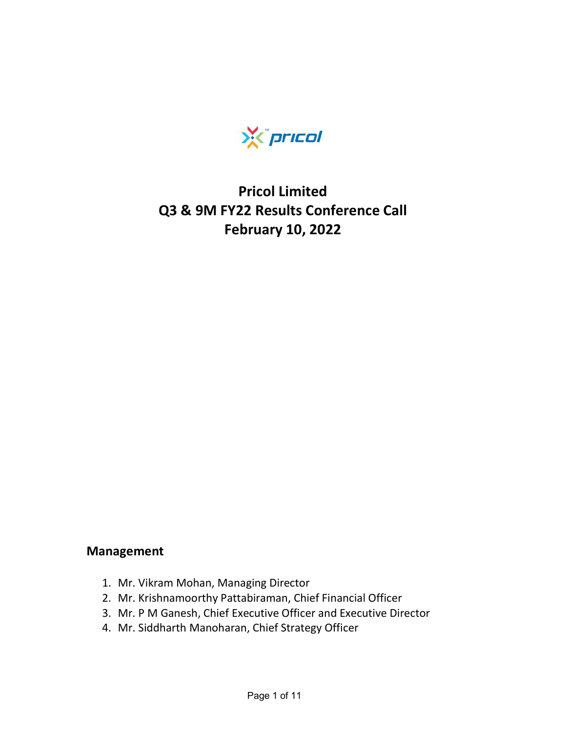

# Pricol Limited Q3 & 9M FY22 Results Conference Call February 10, 2022

### Management

- 1. Mr. Vikram Mohan, Managing Director
- 2. Mr. Krishnamoorthy Pattabiraman, Chief Financial Officer
- 3. Mr. P M Ganesh, Chief Executive Officer and Executive Director
- 4. Mr. Siddharth Manoharan, Chief Strategy Officer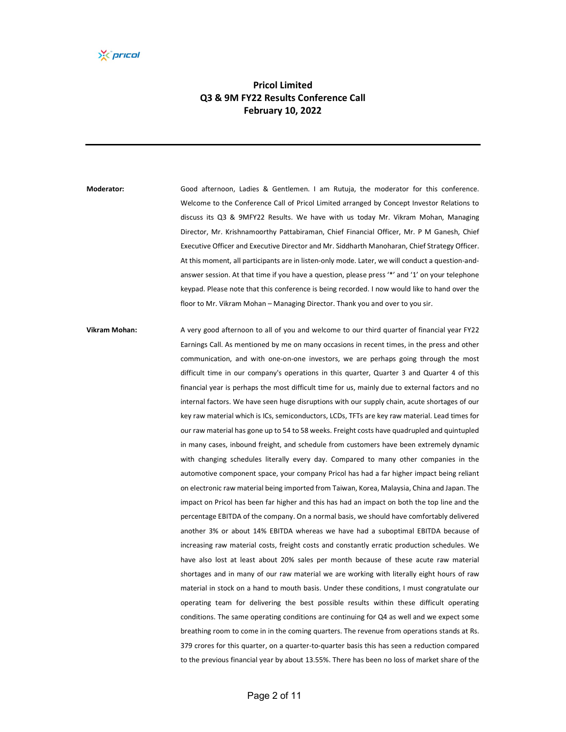#### Pricol Limited Q3 & 9M FY22 Results Conference Call February 10, 2022

Moderator: Good afternoon, Ladies & Gentlemen. I am Rutuja, the moderator for this conference. Welcome to the Conference Call of Pricol Limited arranged by Concept Investor Relations to discuss its Q3 & 9MFY22 Results. We have with us today Mr. Vikram Mohan, Managing Director, Mr. Krishnamoorthy Pattabiraman, Chief Financial Officer, Mr. P M Ganesh, Chief Executive Officer and Executive Director and Mr. Siddharth Manoharan, Chief Strategy Officer. At this moment, all participants are in listen‐only mode. Later, we will conduct a question‐and‐ answer session. At that time if you have a question, please press '\*' and '1' on your telephone keypad. Please note that this conference is being recorded. I now would like to hand over the floor to Mr. Vikram Mohan – Managing Director. Thank you and over to you sir.

Vikram Mohan: A very good afternoon to all of you and welcome to our third quarter of financial year FY22 Earnings Call. As mentioned by me on many occasions in recent times, in the press and other communication, and with one‐on‐one investors, we are perhaps going through the most difficult time in our company's operations in this quarter, Quarter 3 and Quarter 4 of this financial year is perhaps the most difficult time for us, mainly due to external factors and no internal factors. We have seen huge disruptions with our supply chain, acute shortages of our key raw material which is ICs, semiconductors, LCDs, TFTs are key raw material. Lead times for our raw material has gone up to 54 to 58 weeks. Freight costs have quadrupled and quintupled in many cases, inbound freight, and schedule from customers have been extremely dynamic with changing schedules literally every day. Compared to many other companies in the automotive component space, your company Pricol has had a far higher impact being reliant on electronic raw material being imported from Taiwan, Korea, Malaysia, China and Japan. The impact on Pricol has been far higher and this has had an impact on both the top line and the percentage EBITDA of the company. On a normal basis, we should have comfortably delivered another 3% or about 14% EBITDA whereas we have had a suboptimal EBITDA because of increasing raw material costs, freight costs and constantly erratic production schedules. We have also lost at least about 20% sales per month because of these acute raw material shortages and in many of our raw material we are working with literally eight hours of raw material in stock on a hand to mouth basis. Under these conditions, I must congratulate our operating team for delivering the best possible results within these difficult operating conditions. The same operating conditions are continuing for Q4 as well and we expect some breathing room to come in in the coming quarters. The revenue from operations stands at Rs. 379 crores for this quarter, on a quarter‐to‐quarter basis this has seen a reduction compared to the previous financial year by about 13.55%. There has been no loss of market share of the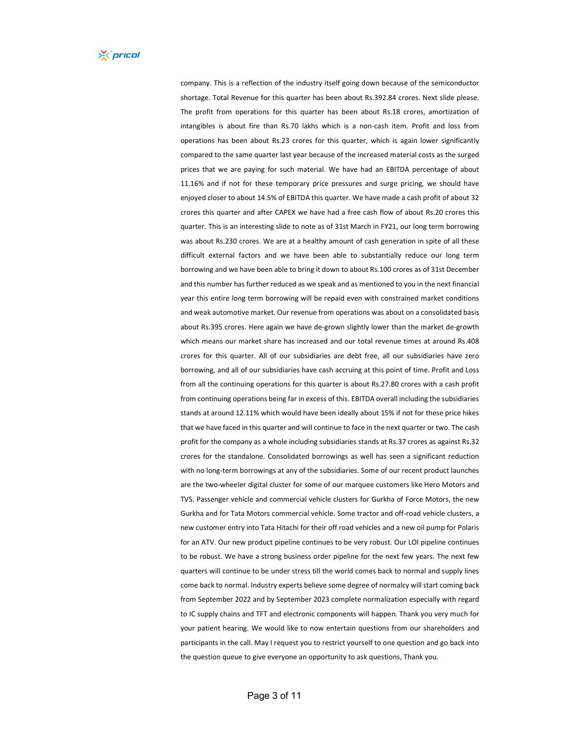company. This is a reflection of the industry itself going down because of the semiconductor shortage. Total Revenue for this quarter has been about Rs.392.84 crores. Next slide please. The profit from operations for this quarter has been about Rs.18 crores, amortization of intangibles is about fire than Rs.70 lakhs which is a non‐cash item. Profit and loss from operations has been about Rs.23 crores for this quarter, which is again lower significantly compared to the same quarter last year because of the increased material costs as the surged prices that we are paying for such material. We have had an EBITDA percentage of about 11.16% and if not for these temporary price pressures and surge pricing, we should have enjoyed closer to about 14.5% of EBITDA this quarter. We have made a cash profit of about 32 crores this quarter and after CAPEX we have had a free cash flow of about Rs.20 crores this quarter. This is an interesting slide to note as of 31st March in FY21, our long term borrowing was about Rs.230 crores. We are at a healthy amount of cash generation in spite of all these difficult external factors and we have been able to substantially reduce our long term borrowing and we have been able to bring it down to about Rs.100 crores as of 31st December and this number has further reduced as we speak and as mentioned to you in the next financial year this entire long term borrowing will be repaid even with constrained market conditions and weak automotive market. Our revenue from operations was about on a consolidated basis about Rs.395 crores. Here again we have de‐grown slightly lower than the market de‐growth which means our market share has increased and our total revenue times at around Rs.408 crores for this quarter. All of our subsidiaries are debt free, all our subsidiaries have zero borrowing, and all of our subsidiaries have cash accruing at this point of time. Profit and Loss from all the continuing operations for this quarter is about Rs.27.80 crores with a cash profit from continuing operations being far in excess of this. EBITDA overall including the subsidiaries stands at around 12.11% which would have been ideally about 15% if not for these price hikes that we have faced in this quarter and will continue to face in the next quarter or two. The cash profit for the company as a whole including subsidiaries stands at Rs.37 crores as against Rs.32 crores for the standalone. Consolidated borrowings as well has seen a significant reduction with no long-term borrowings at any of the subsidiaries. Some of our recent product launches are the two-wheeler digital cluster for some of our marquee customers like Hero Motors and TVS. Passenger vehicle and commercial vehicle clusters for Gurkha of Force Motors, the new Gurkha and for Tata Motors commercial vehicle. Some tractor and off‐road vehicle clusters, a new customer entry into Tata Hitachi for their off road vehicles and a new oil pump for Polaris for an ATV. Our new product pipeline continues to be very robust. Our LOI pipeline continues to be robust. We have a strong business order pipeline for the next few years. The next few quarters will continue to be under stress till the world comes back to normal and supply lines come back to normal. Industry experts believe some degree of normalcy will start coming back from September 2022 and by September 2023 complete normalization especially with regard to IC supply chains and TFT and electronic components will happen. Thank you very much for your patient hearing. We would like to now entertain questions from our shareholders and participants in the call. May I request you to restrict yourself to one question and go back into the question queue to give everyone an opportunity to ask questions, Thank you.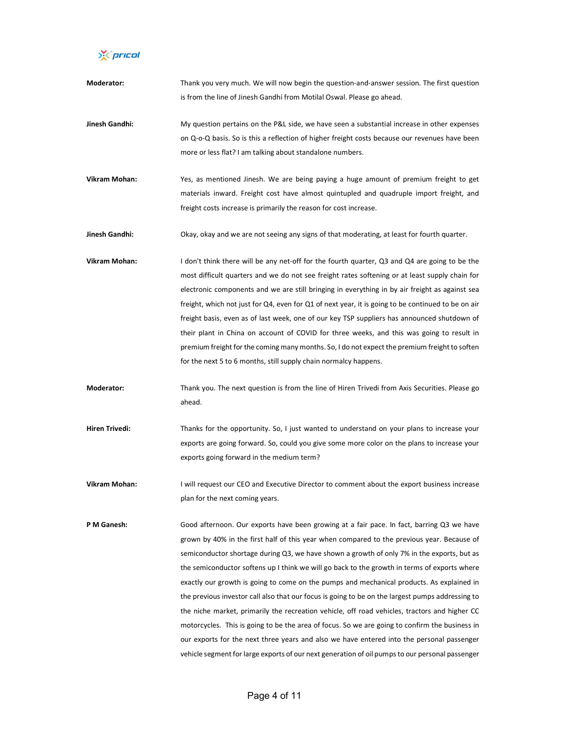X pricol

| Moderator:            | Thank you very much. We will now begin the question-and-answer session. The first question<br>is from the line of Jinesh Gandhi from Motilal Oswal. Please go ahead.                                                                                                                                                                                                                                                                                                                                                                                                                                                                                                                                                                                                                                                                                                                                                                                                                      |
|-----------------------|-------------------------------------------------------------------------------------------------------------------------------------------------------------------------------------------------------------------------------------------------------------------------------------------------------------------------------------------------------------------------------------------------------------------------------------------------------------------------------------------------------------------------------------------------------------------------------------------------------------------------------------------------------------------------------------------------------------------------------------------------------------------------------------------------------------------------------------------------------------------------------------------------------------------------------------------------------------------------------------------|
| Jinesh Gandhi:        | My question pertains on the P&L side, we have seen a substantial increase in other expenses<br>on Q-o-Q basis. So is this a reflection of higher freight costs because our revenues have been<br>more or less flat? I am talking about standalone numbers.                                                                                                                                                                                                                                                                                                                                                                                                                                                                                                                                                                                                                                                                                                                                |
| <b>Vikram Mohan:</b>  | Yes, as mentioned Jinesh. We are being paying a huge amount of premium freight to get<br>materials inward. Freight cost have almost quintupled and quadruple import freight, and<br>freight costs increase is primarily the reason for cost increase.                                                                                                                                                                                                                                                                                                                                                                                                                                                                                                                                                                                                                                                                                                                                     |
| Jinesh Gandhi:        | Okay, okay and we are not seeing any signs of that moderating, at least for fourth quarter.                                                                                                                                                                                                                                                                                                                                                                                                                                                                                                                                                                                                                                                                                                                                                                                                                                                                                               |
| Vikram Mohan:         | I don't think there will be any net-off for the fourth quarter, Q3 and Q4 are going to be the<br>most difficult quarters and we do not see freight rates softening or at least supply chain for<br>electronic components and we are still bringing in everything in by air freight as against sea<br>freight, which not just for Q4, even for Q1 of next year, it is going to be continued to be on air<br>freight basis, even as of last week, one of our key TSP suppliers has announced shutdown of<br>their plant in China on account of COVID for three weeks, and this was going to result in<br>premium freight for the coming many months. So, I do not expect the premium freight to soften<br>for the next 5 to 6 months, still supply chain normalcy happens.                                                                                                                                                                                                                  |
| Moderator:            | Thank you. The next question is from the line of Hiren Trivedi from Axis Securities. Please go<br>ahead.                                                                                                                                                                                                                                                                                                                                                                                                                                                                                                                                                                                                                                                                                                                                                                                                                                                                                  |
| <b>Hiren Trivedi:</b> | Thanks for the opportunity. So, I just wanted to understand on your plans to increase your<br>exports are going forward. So, could you give some more color on the plans to increase your<br>exports going forward in the medium term?                                                                                                                                                                                                                                                                                                                                                                                                                                                                                                                                                                                                                                                                                                                                                    |
| Vikram Mohan:         | I will request our CEO and Executive Director to comment about the export business increase<br>plan for the next coming years.                                                                                                                                                                                                                                                                                                                                                                                                                                                                                                                                                                                                                                                                                                                                                                                                                                                            |
| P M Ganesh:           | Good afternoon. Our exports have been growing at a fair pace. In fact, barring Q3 we have<br>grown by 40% in the first half of this year when compared to the previous year. Because of<br>semiconductor shortage during Q3, we have shown a growth of only 7% in the exports, but as<br>the semiconductor softens up I think we will go back to the growth in terms of exports where<br>exactly our growth is going to come on the pumps and mechanical products. As explained in<br>the previous investor call also that our focus is going to be on the largest pumps addressing to<br>the niche market, primarily the recreation vehicle, off road vehicles, tractors and higher CC<br>motorcycles. This is going to be the area of focus. So we are going to confirm the business in<br>our exports for the next three years and also we have entered into the personal passenger<br>vehicle segment for large exports of our next generation of oil pumps to our personal passenger |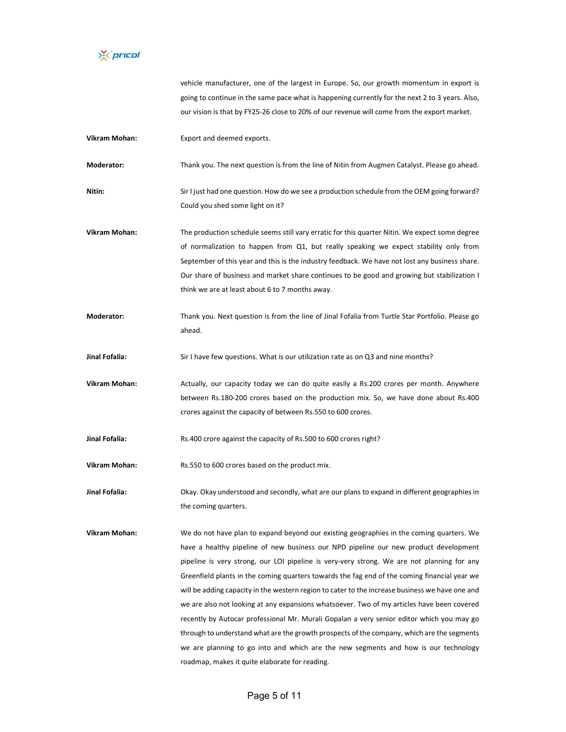

vehicle manufacturer, one of the largest in Europe. So, our growth momentum in export is going to continue in the same pace what is happening currently for the next 2 to 3 years. Also, our vision is that by FY25‐26 close to 20% of our revenue will come from the export market.

Vikram Mohan: Export and deemed exports.

Moderator: Thank you. The next question is from the line of Nitin from Augmen Catalyst. Please go ahead.

- Nitin: Sir I just had one question. How do we see a production schedule from the OEM going forward? Could you shed some light on it?
- Vikram Mohan: The production schedule seems still vary erratic for this quarter Nitin. We expect some degree of normalization to happen from Q1, but really speaking we expect stability only from September of this year and this is the industry feedback. We have not lost any business share. Our share of business and market share continues to be good and growing but stabilization I think we are at least about 6 to 7 months away.
- Moderator: Thank you. Next question is from the line of Jinal Fofalia from Turtle Star Portfolio. Please go ahead.
- Jinal Fofalia: Sir I have few questions. What is our utilization rate as on Q3 and nine months?
- Vikram Mohan: Actually, our capacity today we can do quite easily a Rs.200 crores per month. Anywhere between Rs.180‐200 crores based on the production mix. So, we have done about Rs.400 crores against the capacity of between Rs.550 to 600 crores.
- Jinal Fofalia: Rs.400 crore against the capacity of Rs.500 to 600 crores right?

Vikram Mohan: Rs.550 to 600 crores based on the product mix.

Jinal Fofalia: Okay. Okay understood and secondly, what are our plans to expand in different geographies in the coming quarters.

Vikram Mohan: We do not have plan to expand beyond our existing geographies in the coming quarters. We have a healthy pipeline of new business our NPD pipeline our new product development pipeline is very strong, our LOI pipeline is very-very strong. We are not planning for any Greenfield plants in the coming quarters towards the fag end of the coming financial year we will be adding capacity in the western region to cater to the increase business we have one and we are also not looking at any expansions whatsoever. Two of my articles have been covered recently by Autocar professional Mr. Murali Gopalan a very senior editor which you may go through to understand what are the growth prospects of the company, which are the segments we are planning to go into and which are the new segments and how is our technology roadmap, makes it quite elaborate for reading.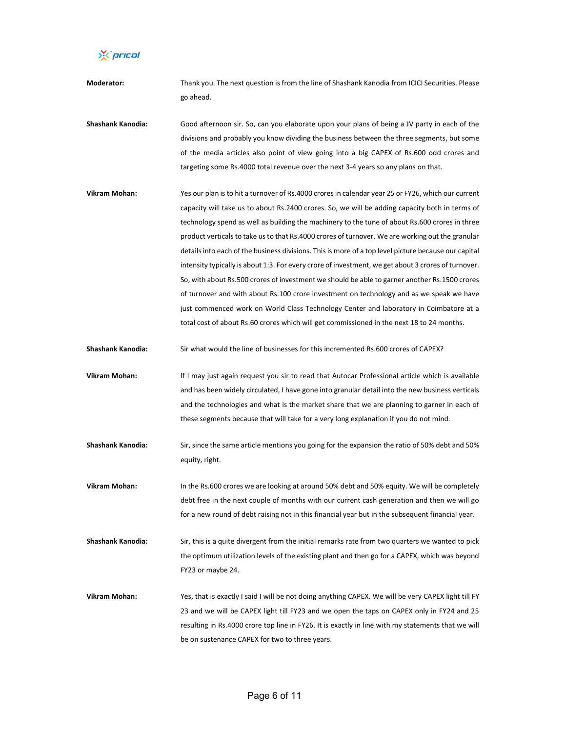X pricol

Moderator: Thank you. The next question is from the line of Shashank Kanodia from ICICI Securities. Please go ahead.

Shashank Kanodia: Good afternoon sir. So, can you elaborate upon your plans of being a JV party in each of the divisions and probably you know dividing the business between the three segments, but some of the media articles also point of view going into a big CAPEX of Rs.600 odd crores and targeting some Rs.4000 total revenue over the next 3‐4 years so any plans on that.

Vikram Mohan: Yes our plan is to hit a turnover of Rs.4000 crores in calendar year 25 or FY26, which our current capacity will take us to about Rs.2400 crores. So, we will be adding capacity both in terms of technology spend as well as building the machinery to the tune of about Rs.600 crores in three product verticals to take us to that Rs.4000 crores of turnover. We are working out the granular details into each of the business divisions. This is more of a top level picture because our capital intensity typically is about 1:3. For every crore of investment, we get about 3 crores of turnover. So, with about Rs.500 crores of investment we should be able to garner another Rs.1500 crores of turnover and with about Rs.100 crore investment on technology and as we speak we have just commenced work on World Class Technology Center and laboratory in Coimbatore at a total cost of about Rs.60 crores which will get commissioned in the next 18 to 24 months.

Shashank Kanodia: Sir what would the line of businesses for this incremented Rs.600 crores of CAPEX?

Vikram Mohan: If I may just again request you sir to read that Autocar Professional article which is available and has been widely circulated, I have gone into granular detail into the new business verticals and the technologies and what is the market share that we are planning to garner in each of these segments because that will take for a very long explanation if you do not mind.

Shashank Kanodia: Sir, since the same article mentions you going for the expansion the ratio of 50% debt and 50% equity, right.

Vikram Mohan: In the Rs.600 crores we are looking at around 50% debt and 50% equity. We will be completely debt free in the next couple of months with our current cash generation and then we will go for a new round of debt raising not in this financial year but in the subsequent financial year.

Shashank Kanodia: Sir, this is a quite divergent from the initial remarks rate from two quarters we wanted to pick the optimum utilization levels of the existing plant and then go for a CAPEX, which was beyond FY23 or maybe 24.

Vikram Mohan: Yes, that is exactly I said I will be not doing anything CAPEX. We will be very CAPEX light till FY 23 and we will be CAPEX light till FY23 and we open the taps on CAPEX only in FY24 and 25 resulting in Rs.4000 crore top line in FY26. It is exactly in line with my statements that we will be on sustenance CAPEX for two to three years.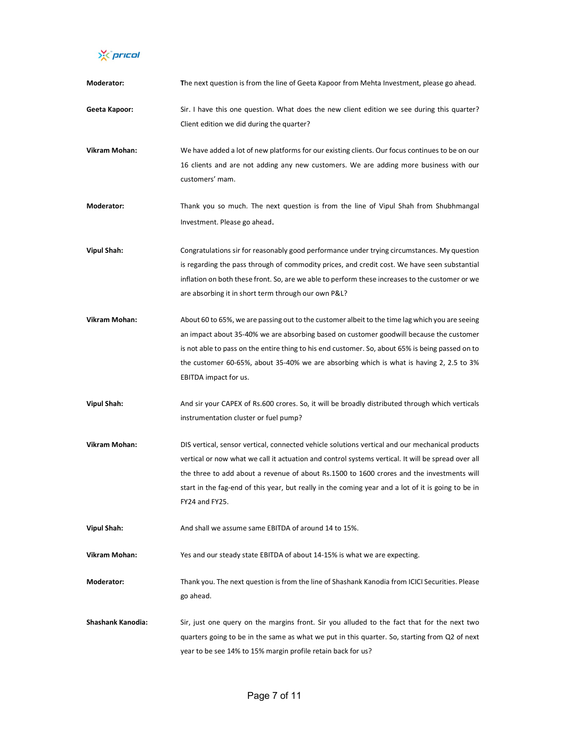X pricol

| Moderator:               | The next question is from the line of Geeta Kapoor from Mehta Investment, please go ahead.                                                                                                                                                                                                                                                                                                                                 |
|--------------------------|----------------------------------------------------------------------------------------------------------------------------------------------------------------------------------------------------------------------------------------------------------------------------------------------------------------------------------------------------------------------------------------------------------------------------|
| Geeta Kapoor:            | Sir. I have this one question. What does the new client edition we see during this quarter?<br>Client edition we did during the quarter?                                                                                                                                                                                                                                                                                   |
| Vikram Mohan:            | We have added a lot of new platforms for our existing clients. Our focus continues to be on our<br>16 clients and are not adding any new customers. We are adding more business with our<br>customers' mam.                                                                                                                                                                                                                |
| Moderator:               | Thank you so much. The next question is from the line of Vipul Shah from Shubhmangal<br>Investment. Please go ahead.                                                                                                                                                                                                                                                                                                       |
| <b>Vipul Shah:</b>       | Congratulations sir for reasonably good performance under trying circumstances. My question<br>is regarding the pass through of commodity prices, and credit cost. We have seen substantial<br>inflation on both these front. So, are we able to perform these increases to the customer or we<br>are absorbing it in short term through our own P&L?                                                                      |
| Vikram Mohan:            | About 60 to 65%, we are passing out to the customer albeit to the time lag which you are seeing<br>an impact about 35-40% we are absorbing based on customer goodwill because the customer<br>is not able to pass on the entire thing to his end customer. So, about 65% is being passed on to<br>the customer 60-65%, about 35-40% we are absorbing which is what is having 2, 2.5 to 3%<br>EBITDA impact for us.         |
| <b>Vipul Shah:</b>       | And sir your CAPEX of Rs.600 crores. So, it will be broadly distributed through which verticals<br>instrumentation cluster or fuel pump?                                                                                                                                                                                                                                                                                   |
| Vikram Mohan:            | DIS vertical, sensor vertical, connected vehicle solutions vertical and our mechanical products<br>vertical or now what we call it actuation and control systems vertical. It will be spread over all<br>the three to add about a revenue of about Rs.1500 to 1600 crores and the investments will<br>start in the fag-end of this year, but really in the coming year and a lot of it is going to be in<br>FY24 and FY25. |
| <b>Vipul Shah:</b>       | And shall we assume same EBITDA of around 14 to 15%.                                                                                                                                                                                                                                                                                                                                                                       |
| <b>Vikram Mohan:</b>     | Yes and our steady state EBITDA of about 14-15% is what we are expecting.                                                                                                                                                                                                                                                                                                                                                  |
| Moderator:               | Thank you. The next question is from the line of Shashank Kanodia from ICICI Securities. Please<br>go ahead.                                                                                                                                                                                                                                                                                                               |
| <b>Shashank Kanodia:</b> | Sir, just one query on the margins front. Sir you alluded to the fact that for the next two<br>quarters going to be in the same as what we put in this quarter. So, starting from Q2 of next<br>year to be see 14% to 15% margin profile retain back for us?                                                                                                                                                               |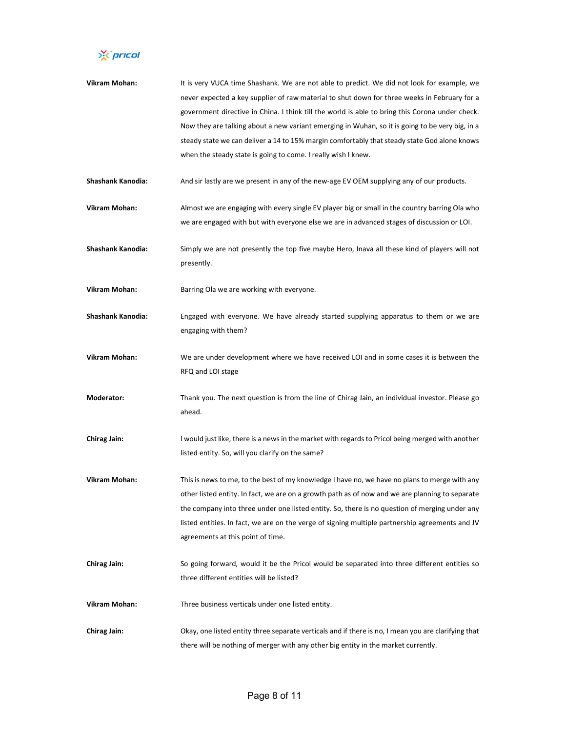X prical

| Vikram Mohan:            | It is very VUCA time Shashank. We are not able to predict. We did not look for example, we          |
|--------------------------|-----------------------------------------------------------------------------------------------------|
|                          | never expected a key supplier of raw material to shut down for three weeks in February for a        |
|                          | government directive in China. I think till the world is able to bring this Corona under check.     |
|                          | Now they are talking about a new variant emerging in Wuhan, so it is going to be very big, in a     |
|                          | steady state we can deliver a 14 to 15% margin comfortably that steady state God alone knows        |
|                          | when the steady state is going to come. I really wish I knew.                                       |
|                          |                                                                                                     |
| Shashank Kanodia:        | And sir lastly are we present in any of the new-age EV OEM supplying any of our products.           |
| Vikram Mohan:            | Almost we are engaging with every single EV player big or small in the country barring Ola who      |
|                          | we are engaged with but with everyone else we are in advanced stages of discussion or LOI.          |
|                          |                                                                                                     |
| Shashank Kanodia:        | Simply we are not presently the top five maybe Hero, Inava all these kind of players will not       |
|                          | presently.                                                                                          |
|                          |                                                                                                     |
| Vikram Mohan:            | Barring Ola we are working with everyone.                                                           |
| <b>Shashank Kanodia:</b> | Engaged with everyone. We have already started supplying apparatus to them or we are                |
|                          | engaging with them?                                                                                 |
|                          |                                                                                                     |
| Vikram Mohan:            | We are under development where we have received LOI and in some cases it is between the             |
|                          | RFQ and LOI stage                                                                                   |
|                          |                                                                                                     |
| <b>Moderator:</b>        | Thank you. The next question is from the line of Chirag Jain, an individual investor. Please go     |
|                          | ahead.                                                                                              |
|                          |                                                                                                     |
| <b>Chirag Jain:</b>      | I would just like, there is a news in the market with regards to Pricol being merged with another   |
|                          | listed entity. So, will you clarify on the same?                                                    |
|                          |                                                                                                     |
| Vikram Mohan:            | This is news to me, to the best of my knowledge I have no, we have no plans to merge with any       |
|                          | other listed entity. In fact, we are on a growth path as of now and we are planning to separate     |
|                          | the company into three under one listed entity. So, there is no question of merging under any       |
|                          | listed entities. In fact, we are on the verge of signing multiple partnership agreements and JV     |
|                          | agreements at this point of time.                                                                   |
| <b>Chirag Jain:</b>      | So going forward, would it be the Pricol would be separated into three different entities so        |
|                          | three different entities will be listed?                                                            |
|                          |                                                                                                     |
| Vikram Mohan:            | Three business verticals under one listed entity.                                                   |
|                          |                                                                                                     |
| <b>Chirag Jain:</b>      | Okay, one listed entity three separate verticals and if there is no, I mean you are clarifying that |
|                          | there will be nothing of merger with any other big entity in the market currently.                  |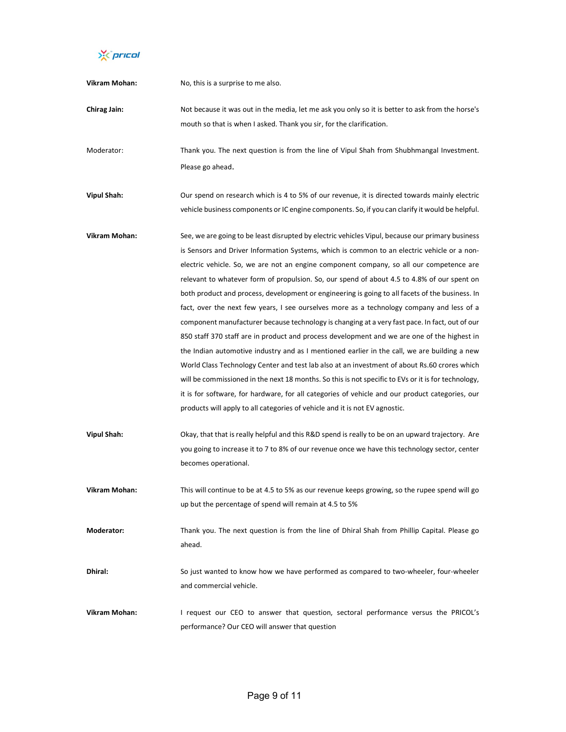X prical

| Vikram Mohan:      | No, this is a surprise to me also.                                                                                                                                                                                                                                                                                                                                                                                                                                                                                                                                                                                                                                                                                                                                                                                                                                                                                                                                                                                                                                                                                                                                                                                                                                                  |
|--------------------|-------------------------------------------------------------------------------------------------------------------------------------------------------------------------------------------------------------------------------------------------------------------------------------------------------------------------------------------------------------------------------------------------------------------------------------------------------------------------------------------------------------------------------------------------------------------------------------------------------------------------------------------------------------------------------------------------------------------------------------------------------------------------------------------------------------------------------------------------------------------------------------------------------------------------------------------------------------------------------------------------------------------------------------------------------------------------------------------------------------------------------------------------------------------------------------------------------------------------------------------------------------------------------------|
| Chirag Jain:       | Not because it was out in the media, let me ask you only so it is better to ask from the horse's<br>mouth so that is when I asked. Thank you sir, for the clarification.                                                                                                                                                                                                                                                                                                                                                                                                                                                                                                                                                                                                                                                                                                                                                                                                                                                                                                                                                                                                                                                                                                            |
| Moderator:         | Thank you. The next question is from the line of Vipul Shah from Shubhmangal Investment.<br>Please go ahead.                                                                                                                                                                                                                                                                                                                                                                                                                                                                                                                                                                                                                                                                                                                                                                                                                                                                                                                                                                                                                                                                                                                                                                        |
| <b>Vipul Shah:</b> | Our spend on research which is 4 to 5% of our revenue, it is directed towards mainly electric<br>vehicle business components or IC engine components. So, if you can clarify it would be helpful.                                                                                                                                                                                                                                                                                                                                                                                                                                                                                                                                                                                                                                                                                                                                                                                                                                                                                                                                                                                                                                                                                   |
| Vikram Mohan:      | See, we are going to be least disrupted by electric vehicles Vipul, because our primary business<br>is Sensors and Driver Information Systems, which is common to an electric vehicle or a non-<br>electric vehicle. So, we are not an engine component company, so all our competence are<br>relevant to whatever form of propulsion. So, our spend of about 4.5 to 4.8% of our spent on<br>both product and process, development or engineering is going to all facets of the business. In<br>fact, over the next few years, I see ourselves more as a technology company and less of a<br>component manufacturer because technology is changing at a very fast pace. In fact, out of our<br>850 staff 370 staff are in product and process development and we are one of the highest in<br>the Indian automotive industry and as I mentioned earlier in the call, we are building a new<br>World Class Technology Center and test lab also at an investment of about Rs.60 crores which<br>will be commissioned in the next 18 months. So this is not specific to EVs or it is for technology,<br>it is for software, for hardware, for all categories of vehicle and our product categories, our<br>products will apply to all categories of vehicle and it is not EV agnostic. |
| <b>Vipul Shah:</b> | Okay, that that is really helpful and this R&D spend is really to be on an upward trajectory. Are<br>you going to increase it to 7 to 8% of our revenue once we have this technology sector, center<br>becomes operational.                                                                                                                                                                                                                                                                                                                                                                                                                                                                                                                                                                                                                                                                                                                                                                                                                                                                                                                                                                                                                                                         |
| Vikram Mohan:      | This will continue to be at 4.5 to 5% as our revenue keeps growing, so the rupee spend will go<br>up but the percentage of spend will remain at 4.5 to 5%                                                                                                                                                                                                                                                                                                                                                                                                                                                                                                                                                                                                                                                                                                                                                                                                                                                                                                                                                                                                                                                                                                                           |
| Moderator:         | Thank you. The next question is from the line of Dhiral Shah from Phillip Capital. Please go<br>ahead.                                                                                                                                                                                                                                                                                                                                                                                                                                                                                                                                                                                                                                                                                                                                                                                                                                                                                                                                                                                                                                                                                                                                                                              |
| Dhiral:            | So just wanted to know how we have performed as compared to two-wheeler, four-wheeler<br>and commercial vehicle.                                                                                                                                                                                                                                                                                                                                                                                                                                                                                                                                                                                                                                                                                                                                                                                                                                                                                                                                                                                                                                                                                                                                                                    |
| Vikram Mohan:      | I request our CEO to answer that question, sectoral performance versus the PRICOL's<br>performance? Our CEO will answer that question                                                                                                                                                                                                                                                                                                                                                                                                                                                                                                                                                                                                                                                                                                                                                                                                                                                                                                                                                                                                                                                                                                                                               |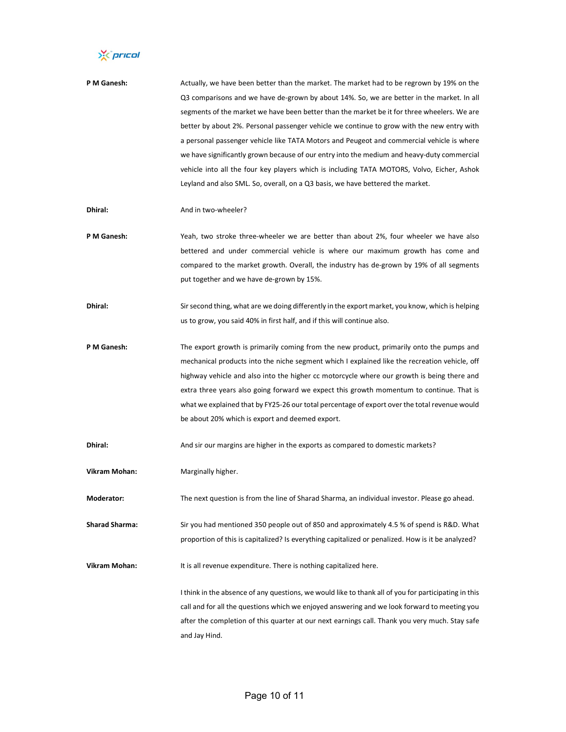X prical

| P M Ganesh:           | Actually, we have been better than the market. The market had to be regrown by 19% on the            |
|-----------------------|------------------------------------------------------------------------------------------------------|
|                       | Q3 comparisons and we have de-grown by about 14%. So, we are better in the market. In all            |
|                       | segments of the market we have been better than the market be it for three wheelers. We are          |
|                       | better by about 2%. Personal passenger vehicle we continue to grow with the new entry with           |
|                       | a personal passenger vehicle like TATA Motors and Peugeot and commercial vehicle is where            |
|                       | we have significantly grown because of our entry into the medium and heavy-duty commercial           |
|                       | vehicle into all the four key players which is including TATA MOTORS, Volvo, Eicher, Ashok           |
|                       | Leyland and also SML. So, overall, on a Q3 basis, we have bettered the market.                       |
| Dhiral:               | And in two-wheeler?                                                                                  |
| P M Ganesh:           | Yeah, two stroke three-wheeler we are better than about 2%, four wheeler we have also                |
|                       | bettered and under commercial vehicle is where our maximum growth has come and                       |
|                       | compared to the market growth. Overall, the industry has de-grown by 19% of all segments             |
|                       | put together and we have de-grown by 15%.                                                            |
| Dhiral:               | Sir second thing, what are we doing differently in the export market, you know, which is helping     |
|                       | us to grow, you said 40% in first half, and if this will continue also.                              |
| P M Ganesh:           | The export growth is primarily coming from the new product, primarily onto the pumps and             |
|                       | mechanical products into the niche segment which I explained like the recreation vehicle, off        |
|                       | highway vehicle and also into the higher cc motorcycle where our growth is being there and           |
|                       | extra three years also going forward we expect this growth momentum to continue. That is             |
|                       | what we explained that by FY25-26 our total percentage of export over the total revenue would        |
|                       | be about 20% which is export and deemed export.                                                      |
| Dhiral:               | And sir our margins are higher in the exports as compared to domestic markets?                       |
| Vikram Mohan:         | Marginally higher.                                                                                   |
| Moderator:            | The next question is from the line of Sharad Sharma, an individual investor. Please go ahead.        |
| <b>Sharad Sharma:</b> | Sir you had mentioned 350 people out of 850 and approximately 4.5 % of spend is R&D. What            |
|                       | proportion of this is capitalized? Is everything capitalized or penalized. How is it be analyzed?    |
| Vikram Mohan:         | It is all revenue expenditure. There is nothing capitalized here.                                    |
|                       | I think in the absence of any questions, we would like to thank all of you for participating in this |
|                       | call and for all the questions which we enjoyed answering and we look forward to meeting you         |
|                       | after the completion of this quarter at our next earnings call. Thank you very much. Stay safe       |

and Jay Hind.